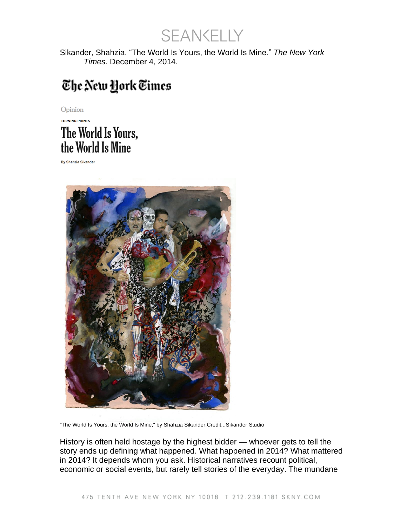SEANKELLY

Sikander, Shahzia. "The World Is Yours, the World Is Mine." *The New York Times*. December 4, 2014.

## The New York Times

Opinion

## **TURNING POINTS** The World Is Yours, the World Is Mine

**By Shahzia Sikander** 



"The World Is Yours, the World Is Mine," by Shahzia Sikander.Credit...Sikander Studio

History is often held hostage by the highest bidder — whoever gets to tell the story ends up defining what happened. What happened in 2014? What mattered in 2014? It depends whom you ask. Historical narratives recount political, economic or social events, but rarely tell stories of the everyday. The mundane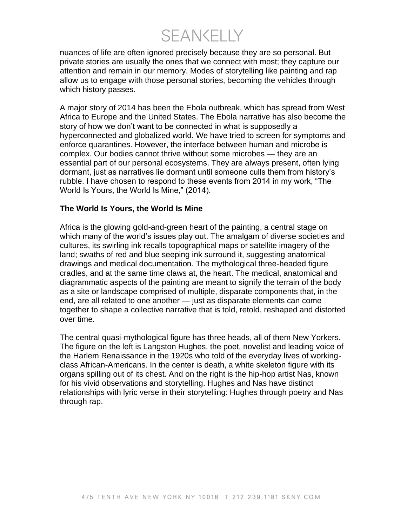**SFANKELLY** 

nuances of life are often ignored precisely because they are so personal. But private stories are usually the ones that we connect with most; they capture our attention and remain in our memory. Modes of storytelling like painting and rap allow us to engage with those personal stories, becoming the vehicles through which history passes.

A major story of 2014 has been the Ebola outbreak, which has spread from West Africa to Europe and the United States. The Ebola narrative has also become the story of how we don't want to be connected in what is supposedly a hyperconnected and globalized world. We have tried to screen for symptoms and enforce quarantines. However, the interface between human and microbe is complex. Our bodies cannot thrive without some microbes — they are an essential part of our personal ecosystems. They are always present, often lying dormant, just as narratives lie dormant until someone culls them from history's rubble. I have chosen to respond to these events from 2014 in my work, "The World Is Yours, the World Is Mine," (2014).

## **The World Is Yours, the World Is Mine**

Africa is the glowing gold-and-green heart of the painting, a central stage on which many of the world's issues play out. The amalgam of diverse societies and cultures, its swirling ink recalls topographical maps or satellite imagery of the land; swaths of red and blue seeping ink surround it, suggesting anatomical drawings and medical documentation. The mythological three-headed figure cradles, and at the same time claws at, the heart. The medical, anatomical and diagrammatic aspects of the painting are meant to signify the terrain of the body as a site or landscape comprised of multiple, disparate components that, in the end, are all related to one another — just as disparate elements can come together to shape a collective narrative that is told, retold, reshaped and distorted over time.

The central quasi-mythological figure has three heads, all of them New Yorkers. The figure on the left is Langston Hughes, the poet, novelist and leading voice of the Harlem Renaissance in the 1920s who told of the everyday lives of workingclass African-Americans. In the center is death, a white skeleton figure with its organs spilling out of its chest. And on the right is the hip-hop artist Nas, known for his vivid observations and storytelling. Hughes and Nas have distinct relationships with lyric verse in their storytelling: Hughes through poetry and Nas through rap.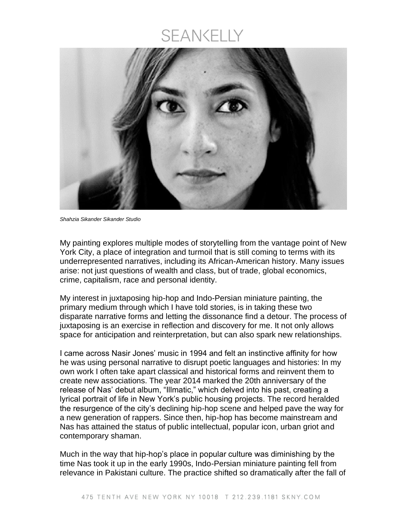## SEANKELLY



*Shahzia Sikander Sikander Studio*

My painting explores multiple modes of storytelling from the vantage point of New York City, a place of integration and turmoil that is still coming to terms with its underrepresented narratives, including its African-American history. Many issues arise: not just questions of wealth and class, but of trade, global economics, crime, capitalism, race and personal identity.

My interest in juxtaposing hip-hop and Indo-Persian miniature painting, the primary medium through which I have told stories, is in taking these two disparate narrative forms and letting the dissonance find a detour. The process of juxtaposing is an exercise in reflection and discovery for me. It not only allows space for anticipation and reinterpretation, but can also spark new relationships.

I came across Nasir Jones' music in 1994 and felt an instinctive affinity for how he was using personal narrative to disrupt poetic languages and histories: In my own work I often take apart classical and historical forms and reinvent them to create new associations. The year 2014 marked the 20th anniversary of the release of Nas' debut album, "Illmatic," which delved into his past, creating a lyrical portrait of life in New York's public housing projects. The record heralded the resurgence of the city's declining hip-hop scene and helped pave the way for a new generation of rappers. Since then, hip-hop has become mainstream and Nas has attained the status of public intellectual, popular icon, urban griot and contemporary shaman.

Much in the way that hip-hop's place in popular culture was diminishing by the time Nas took it up in the early 1990s, Indo-Persian miniature painting fell from relevance in Pakistani culture. The practice shifted so dramatically after the fall of